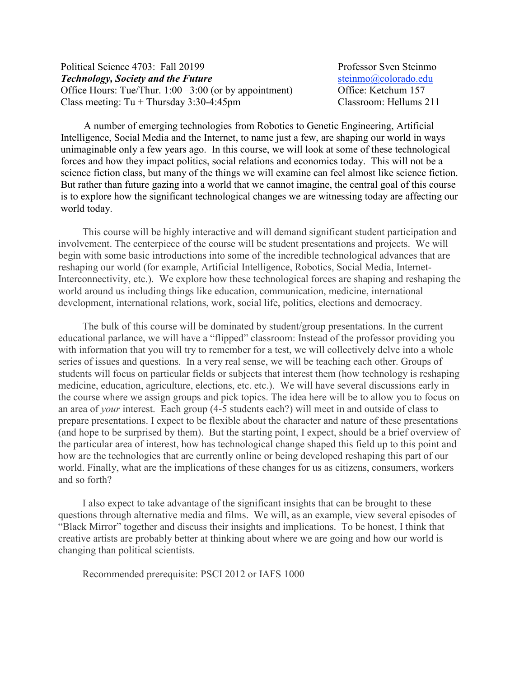### Political Science 4703: Fall 20199 Professor Sven Steinmo *Technology, Society and the Future* [steinmo@colorado.edu](http://sobek.colorado.edu/%7Esteinmo/steinmo@colorado.edu)<br>
Office Hours: Tue/Thur. 1:00 –3:00 (or by appointment) Office: Ketchum 157 Office Hours: Tue/Thur.  $1:00 - 3:00$  (or by appointment) Class meeting: Tu + Thursday 3:30-4:45pm Classroom: Hellums 211

 A number of emerging technologies from Robotics to Genetic Engineering, Artificial Intelligence, Social Media and the Internet, to name just a few, are shaping our world in ways unimaginable only a few years ago. In this course, we will look at some of these technological forces and how they impact politics, social relations and economics today. This will not be a science fiction class, but many of the things we will examine can feel almost like science fiction. But rather than future gazing into a world that we cannot imagine, the central goal of this course is to explore how the significant technological changes we are witnessing today are affecting our world today.

This course will be highly interactive and will demand significant student participation and involvement. The centerpiece of the course will be student presentations and projects. We will begin with some basic introductions into some of the incredible technological advances that are reshaping our world (for example, Artificial Intelligence, Robotics, Social Media, Internet-Interconnectivity, etc.). We explore how these technological forces are shaping and reshaping the world around us including things like education, communication, medicine, international development, international relations, work, social life, politics, elections and democracy.

The bulk of this course will be dominated by student/group presentations. In the current educational parlance, we will have a "flipped" classroom: Instead of the professor providing you with information that you will try to remember for a test, we will collectively delve into a whole series of issues and questions. In a very real sense, we will be teaching each other. Groups of students will focus on particular fields or subjects that interest them (how technology is reshaping medicine, education, agriculture, elections, etc. etc.). We will have several discussions early in the course where we assign groups and pick topics. The idea here will be to allow you to focus on an area of *your* interest. Each group (4-5 students each?) will meet in and outside of class to prepare presentations. I expect to be flexible about the character and nature of these presentations (and hope to be surprised by them). But the starting point, I expect, should be a brief overview of the particular area of interest, how has technological change shaped this field up to this point and how are the technologies that are currently online or being developed reshaping this part of our world. Finally, what are the implications of these changes for us as citizens, consumers, workers and so forth?

I also expect to take advantage of the significant insights that can be brought to these questions through alternative media and films. We will, as an example, view several episodes of "Black Mirror" together and discuss their insights and implications. To be honest, I think that creative artists are probably better at thinking about where we are going and how our world is changing than political scientists.

Recommended prerequisite: PSCI 2012 or IAFS 1000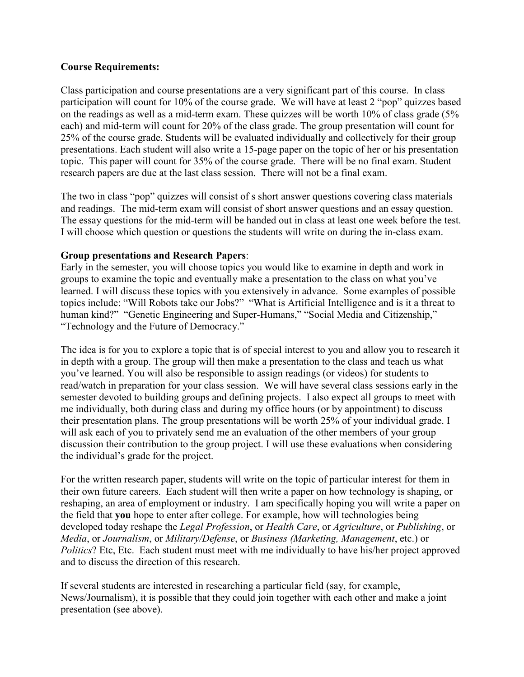### **Course Requirements:**

Class participation and course presentations are a very significant part of this course. In class participation will count for 10% of the course grade. We will have at least 2 "pop" quizzes based on the readings as well as a mid-term exam. These quizzes will be worth 10% of class grade (5% each) and mid-term will count for 20% of the class grade. The group presentation will count for 25% of the course grade. Students will be evaluated individually and collectively for their group presentations. Each student will also write a 15-page paper on the topic of her or his presentation topic. This paper will count for 35% of the course grade. There will be no final exam. Student research papers are due at the last class session. There will not be a final exam.

The two in class "pop" quizzes will consist of s short answer questions covering class materials and readings. The mid-term exam will consist of short answer questions and an essay question. The essay questions for the mid-term will be handed out in class at least one week before the test. I will choose which question or questions the students will write on during the in-class exam.

### **Group presentations and Research Papers**:

Early in the semester, you will choose topics you would like to examine in depth and work in groups to examine the topic and eventually make a presentation to the class on what you've learned. I will discuss these topics with you extensively in advance. Some examples of possible topics include: "Will Robots take our Jobs?" "What is Artificial Intelligence and is it a threat to human kind?" "Genetic Engineering and Super-Humans," "Social Media and Citizenship," "Technology and the Future of Democracy."

The idea is for you to explore a topic that is of special interest to you and allow you to research it in depth with a group. The group will then make a presentation to the class and teach us what you've learned. You will also be responsible to assign readings (or videos) for students to read/watch in preparation for your class session. We will have several class sessions early in the semester devoted to building groups and defining projects. I also expect all groups to meet with me individually, both during class and during my office hours (or by appointment) to discuss their presentation plans. The group presentations will be worth 25% of your individual grade. I will ask each of you to privately send me an evaluation of the other members of your group discussion their contribution to the group project. I will use these evaluations when considering the individual's grade for the project.

For the written research paper, students will write on the topic of particular interest for them in their own future careers. Each student will then write a paper on how technology is shaping, or reshaping, an area of employment or industry. I am specifically hoping you will write a paper on the field that **you** hope to enter after college. For example, how will technologies being developed today reshape the *Legal Profession*, or *Health Care*, or *Agriculture*, or *Publishing*, or *Media*, or *Journalism*, or *Military/Defense*, or *Business (Marketing, Management*, etc.) or *Politics*? Etc, Etc. Each student must meet with me individually to have his/her project approved and to discuss the direction of this research.

If several students are interested in researching a particular field (say, for example, News/Journalism), it is possible that they could join together with each other and make a joint presentation (see above).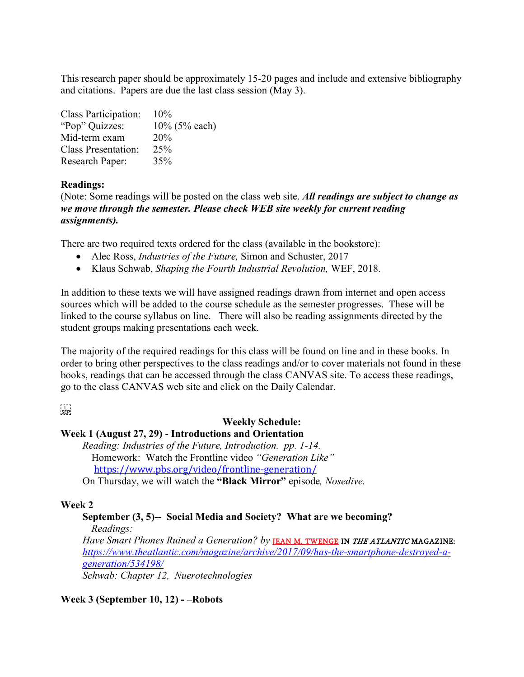This research paper should be approximately 15-20 pages and include and extensive bibliography and citations. Papers are due the last class session (May 3).

| Class Participation:       | 10%           |
|----------------------------|---------------|
| "Pop" Quizzes:             | 10% (5% each) |
| Mid-term exam              | 20%           |
| <b>Class Presentation:</b> | 25%           |
| Research Paper:            | 35%           |

## **Readings:**

(Note: Some readings will be posted on the class web site. *All readings are subject to change as we move through the semester. Please check WEB site weekly for current reading assignments).*

There are two required texts ordered for the class (available in the bookstore):

- Alec Ross, *Industries of the Future,* Simon and Schuster, 2017
- Klaus Schwab, *Shaping the Fourth Industrial Revolution,* WEF, 2018.

In addition to these texts we will have assigned readings drawn from internet and open access sources which will be added to the course schedule as the semester progresses. These will be linked to the course syllabus on line. There will also be reading assignments directed by the student groups making presentations each week.

The majority of the required readings for this class will be found on line and in these books. In order to bring other perspectives to the class readings and/or to cover materials not found in these books, readings that can be accessed through the class CANVAS site. To access these readings, go to the class CANVAS web site and click on the Daily Calendar.

 $\frac{1}{2}$ 

# **Weekly Schedule:**

### **Week 1 (August 27, 29)** - **Introductions and Orientation**

*Reading: Industries of the Future, Introduction. pp. 1-14.* Homework: Watch the Frontline video *"Generation Like"* <https://www.pbs.org/video/frontline-generation/>

On Thursday, we will watch the **"Black Mirror"** episode*, Nosedive.*

## **Week 2**

**September (3, 5)-- Social Media and Society? What are we becoming?** *Readings:* Have Smart Phones Ruined a Generation? by **[JEAN M. TWENGE](https://www.theatlantic.com/author/jean-twenge/) IN THE ATLANTIC MAGAZINE**: *[https://www.theatlantic.com/magazine/archive/2017/09/has-the-smartphone-destroyed-a](https://www.theatlantic.com/magazine/archive/2017/09/has-the-smartphone-destroyed-a-generation/534198/)[generation/534198/](https://www.theatlantic.com/magazine/archive/2017/09/has-the-smartphone-destroyed-a-generation/534198/) Schwab: Chapter 12, Nuerotechnologies*

**Week 3 (September 10, 12) - –Robots**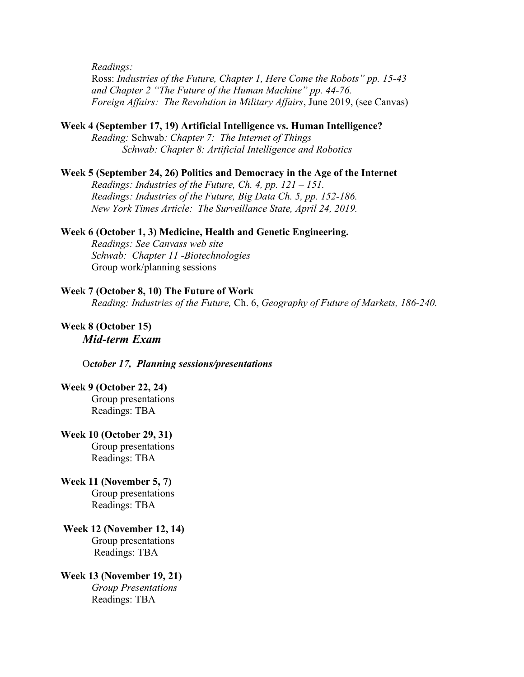*Readings:* 

Ross: *Industries of the Future, Chapter 1, Here Come the Robots" pp. 15-43 and Chapter 2 "The Future of the Human Machine" pp. 44-76. Foreign Affairs: The Revolution in Military Affairs*, June 2019, (see Canvas)

#### **Week 4 (September 17, 19) Artificial Intelligence vs. Human Intelligence?**

*Reading:* Schwab*: Chapter 7: The Internet of Things Schwab: Chapter 8: Artificial Intelligence and Robotics*

#### **Week 5 (September 24, 26) Politics and Democracy in the Age of the Internet**

*Readings: Industries of the Future, Ch. 4, pp. 121 – 151. Readings: Industries of the Future, Big Data Ch. 5, pp. 152-186. New York Times Article: The Surveillance State, April 24, 2019.*

## **Week 6 (October 1, 3) Medicine, Health and Genetic Engineering.**

*Readings: See Canvass web site Schwab: Chapter 11 -Biotechnologies* Group work/planning sessions

#### **Week 7 (October 8, 10) The Future of Work**

*Reading: Industries of the Future,* Ch. 6, *Geography of Future of Markets, 186-240.*

## **Week 8 (October 15)** *Mid-term Exam*

O*ctober 17, Planning sessions/presentations*

#### **Week 9 (October 22, 24)**

Group presentations Readings: TBA

#### **Week 10 (October 29, 31)**

Group presentations Readings: TBA

# **Week 11 (November 5, 7)**  Group presentations

Readings: TBA

## **Week 12 (November 12, 14)** Group presentations Readings: TBA

**Week 13 (November 19, 21)** *Group Presentations*  Readings: TBA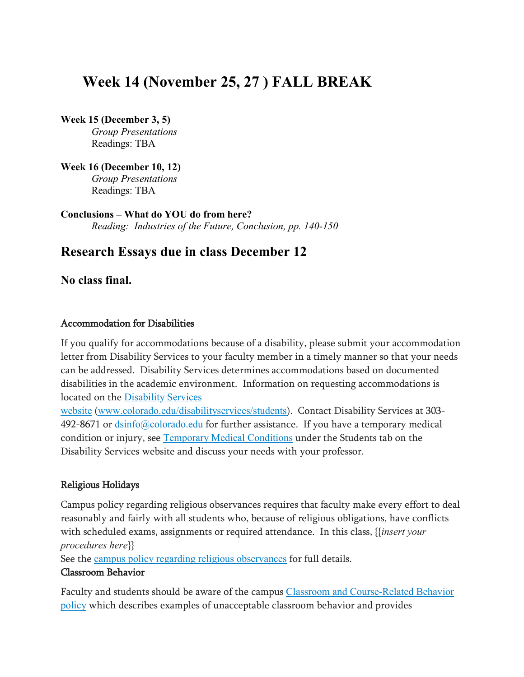# **Week 14 (November 25, 27 ) FALL BREAK**

**Week 15 (December 3, 5)**

*Group Presentations*  Readings: TBA

**Week 16 (December 10, 12)** *Group Presentations*  Readings: TBA

**Conclusions – What do YOU do from here?** *Reading: Industries of the Future, Conclusion, pp. 140-150*

# **Research Essays due in class December 12**

**No class final.**

# Accommodation for Disabilities

If you qualify for accommodations because of a disability, please submit your accommodation letter from Disability Services to your faculty member in a timely manner so that your needs can be addressed. Disability Services determines accommodations based on documented disabilities in the academic environment. Information on requesting accommodations is located on the [Disability](http://www.colorado.edu/disabilityservices/students) Services

[website](http://www.colorado.edu/disabilityservices/students) ([www.colorado.edu/disabilityservices/students](http://www.colorado.edu/disabilityservices/students)). Contact Disability Services at 303- 492-8671 or  $\frac{dsinfo(\partial\phi)$ colorado.edu for further assistance. If you have a temporary medical condition or injury, see [Temporary](http://www.colorado.edu/disabilityservices/students/temporary-medical-conditions) Medical Conditions under the Students tab on the Disability Services website and discuss your needs with your professor.

# Religious Holidays

Campus policy regarding religious observances requires that faculty make every effort to deal reasonably and fairly with all students who, because of religious obligations, have conflicts with scheduled exams, assignments or required attendance. In this class, {{*insert your procedures here*}}

See the campus policy regarding religious [observances](http://www.colorado.edu/policies/observance-religious-holidays-and-absences-classes-andor-exams) for full details.

# Classroom Behavior

Faculty and students should be aware of the campus Classroom and [Course-Related](http://www.colorado.edu/policies/student-classroom-and-course-related-behavior) Behavior [policy](http://www.colorado.edu/policies/student-classroom-and-course-related-behavior) which describes examples of unacceptable classroom behavior and provides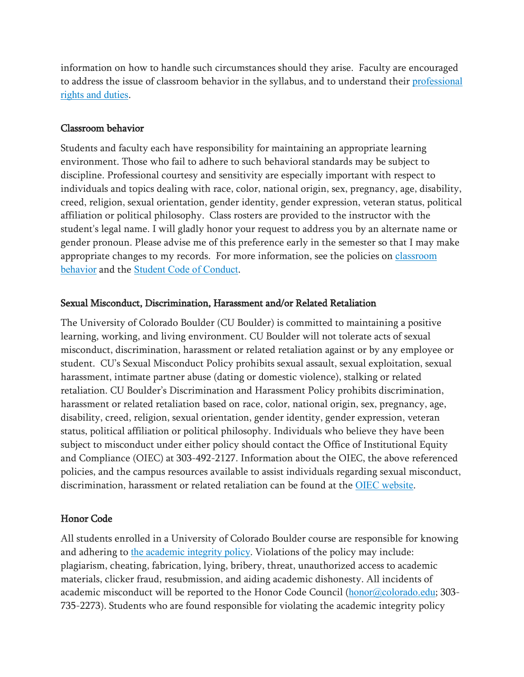information on how to handle such circumstances should they arise. Faculty are encouraged to address the issue of classroom behavior in the syllabus, and to understand their [professional](http://www.colorado.edu/bfa/sites/default/files/attached-files/PRDJanuary16_2013_0.pdf) rights and [duties](http://www.colorado.edu/bfa/sites/default/files/attached-files/PRDJanuary16_2013_0.pdf).

## Classroom behavior

Students and faculty each have responsibility for maintaining an appropriate learning environment. Those who fail to adhere to such behavioral standards may be subject to discipline. Professional courtesy and sensitivity are especially important with respect to individuals and topics dealing with race, color, national origin, sex, pregnancy, age, disability, creed, religion, sexual orientation, gender identity, gender expression, veteran status, political affiliation or political philosophy. Class rosters are provided to the instructor with the student's legal name. I will gladly honor your request to address you by an alternate name or gender pronoun. Please advise me of this preference early in the semester so that I may make appropriate changes to my records. For more information, see the policies on [classroom](http://www.colorado.edu/policies/student-classroom-and-course-related-behavior) [behavior](http://www.colorado.edu/policies/student-classroom-and-course-related-behavior) and the Student Code of [Conduct](http://www.colorado.edu/osccr/).

## Sexual Misconduct, Discrimination, Harassment and/or Related Retaliation

The University of Colorado Boulder (CU Boulder) is committed to maintaining a positive learning, working, and living environment. CU Boulder will not tolerate acts of sexual misconduct, discrimination, harassment or related retaliation against or by any employee or student. CU's Sexual Misconduct Policy prohibits sexual assault, sexual exploitation, sexual harassment, intimate partner abuse (dating or domestic violence), stalking or related retaliation. CU Boulder's Discrimination and Harassment Policy prohibits discrimination, harassment or related retaliation based on race, color, national origin, sex, pregnancy, age, disability, creed, religion, sexual orientation, gender identity, gender expression, veteran status, political affiliation or political philosophy. Individuals who believe they have been subject to misconduct under either policy should contact the Office of Institutional Equity and Compliance (OIEC) at 303-492-2127. Information about the OIEC, the above referenced policies, and the campus resources available to assist individuals regarding sexual misconduct, discrimination, harassment or related retaliation can be found at the OIEC [website](http://www.colorado.edu/institutionalequity/).

# Honor Code

All students enrolled in a University of Colorado Boulder course are responsible for knowing and adhering to the [academic](http://www.colorado.edu/policies/academic-integrity-policy) integrity policy. Violations of the policy may include: plagiarism, cheating, fabrication, lying, bribery, threat, unauthorized access to academic materials, clicker fraud, resubmission, and aiding academic dishonesty. All incidents of academic misconduct will be reported to the Honor Code Council ([honor@colorado.edu](mailto:honor@colorado.edu); 303-735-2273). Students who are found responsible for violating the academic integrity policy